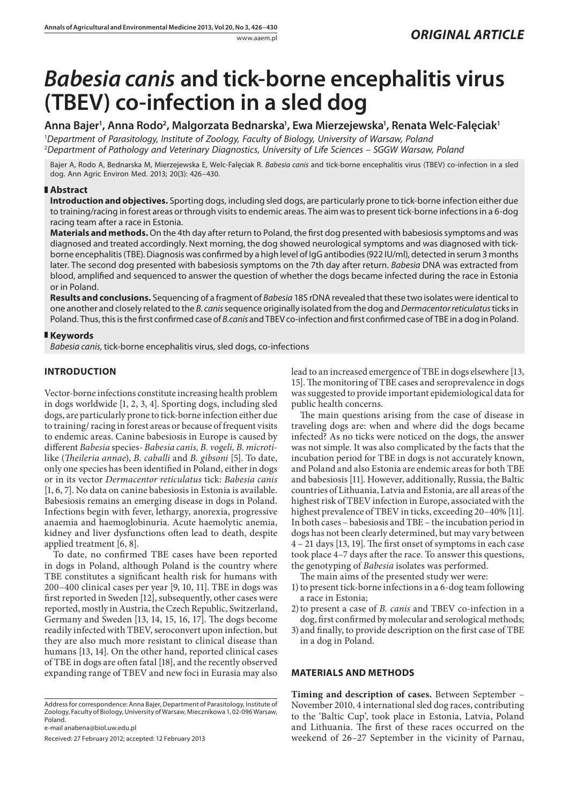www.aaem.pl *ORIGINAL ARTICLE* 

# *Babesia canis* **and tick-borne encephalitis virus (TBEV) co-infection in a sled dog**

# Anna Bajer<sup>ı</sup>, Anna Rodo<sup>2</sup>, Malgorzata Bednarska<sup>ı</sup>, Ewa Mierzejewska<sup>ı</sup>, Renata Welc-Falęciak<sup>ı</sup>

1 *Department of Parasitology, Institute of Zoology, Faculty of Biology, University of Warsaw, Poland* 2 *Department of Pathology and Veterinary Diagnostics, University of Life Sciences – SGGW Warsaw, Poland*

Bajer A, Rodo A, Bednarska M, Mierzejewska E, Welc-Falęciak R. *Babesia canis* and tick-borne encephalitis virus (TBEV) co-infection in a sled dog. Ann Agric Environ Med. 2013; 20(3): 426–430.

## **Abstract**

**Introduction and objectives.** Sporting dogs, including sled dogs, are particularly prone to tick-borne infection either due to training/racing in forest areas or through visits to endemic areas. The aim was to present tick-borne infections in a 6-dog racing team after a race in Estonia.

**Materials and methods.** On the 4th day after return to Poland, the first dog presented with babesiosis symptoms and was diagnosed and treated accordingly. Next morning, the dog showed neurological symptoms and was diagnosed with tickborne encephalitis (TBE). Diagnosis was confirmed by a high level of IgG antibodies (922 IU/ml), detected in serum 3 months later. The second dog presented with babesiosis symptoms on the 7th day after return. *Babesia* DNA was extracted from blood, amplified and sequenced to answer the question of whether the dogs became infected during the race in Estonia or in Poland.

**Results and conclusions.** Sequencing of a fragment of *Babesia* 18S rDNA revealed that these two isolates were identical to one another and closely related to the *B. canis* sequence originally isolated from the dog and *Dermacentor reticulatus* ticks in Poland. Thus, this is the first confirmed case of *B.canis* and TBEV co-infection and first confirmed case of TBE in a dog in Poland.

## **Keywords**

*Babesia canis,* tick-borne encephalitis virus*,* sled dogs, co-infections

# **INTRODUCTION**

Vector-borne infections constitute increasing health problem in dogs worldwide [1, 2, 3, 4]. Sporting dogs, including sled dogs, are particularly prone to tick-borne infection either due to training/ racing in forest areas or because of frequent visits to endemic areas. Canine babesiosis in Europe is caused by different *Babesia* species- *Babesia canis, B. vogeli, B. microti*like (*Theileria annae*), *B. caballi* and *B. gibsoni* [5]. To date, only one species has been identified in Poland, either in dogs or in its vector *Dermacentor reticulatus* tick: *Babesia canis*  [1, 6, 7]. No data on canine babesiosis in Estonia is available. Babesiosis remains an emerging disease in dogs in Poland. Infections begin with fever, lethargy, anorexia, progressive anaemia and haemoglobinuria. Acute haemolytic anemia, kidney and liver dysfunctions often lead to death, despite applied treatment [6, 8].

To date, no confirmed TBE cases have been reported in dogs in Poland, although Poland is the country where TBE constitutes a significant health risk for humans with 200–400 clinical cases per year [9, 10, 11]. TBE in dogs was first reported in Sweden [12], subsequently, other cases were reported, mostly in Austria, the Czech Republic, Switzerland, Germany and Sweden [13, 14, 15, 16, 17]. The dogs become readily infected with TBEV, seroconvert upon infection, but they are also much more resistant to clinical disease than humans [13, 14]. On the other hand, reported clinical cases of TBE in dogs are often fatal [18], and the recently observed expanding range of TBEV and new foci in Eurasia may also

Address for correspondence: Anna Bajer, Department of Parasitology, Institute of Zoology, Faculty of Biology, University of Warsaw, Miecznikowa 1, 02-096 Warsaw, Poland.

e-mail anabena@biol.uw.edu.pl

Received: 27 February 2012; accepted: 12 February 2013

lead to an increased emergence of TBE in dogs elsewhere [13, 15]. The monitoring of TBE cases and seroprevalence in dogs was suggested to provide important epidemiological data for public health concerns.

The main questions arising from the case of disease in traveling dogs are: when and where did the dogs became infected? As no ticks were noticed on the dogs, the answer was not simple. It was also complicated by the facts that the incubation period for TBE in dogs is not accurately known, and Poland and also Estonia are endemic areas for both TBE and babesiosis [11]. However, additionally, Russia, the Baltic countries of Lithuania, Latvia and Estonia, are all areas of the highest risk of TBEV infection in Europe, associated with the highest prevalence of TBEV in ticks, exceeding 20–40% [11]. In both cases – babesiosis and TBE – the incubation period in dogs has not been clearly determined, but may vary between 4 – 21 days [13, 19]. The first onset of symptoms in each case took place 4–7 days after the race. To answer this questions, the genotyping of *Babesia* isolates was performed.

The main aims of the presented study wer were:

- 1) to present tick-borne infections in a 6-dog team following a race in Estonia;
- 2)to present a case of *B. canis* and TBEV co-infection in a dog, first confirmed by molecular and serological methods;
- 3) and finally, to provide description on the first case of TBE in a dog in Poland.

## **MATERIALS AND METHODS**

**Timing and description of cases.** Between September – November 2010, 4 international sled dog races, contributing to the 'Baltic Cup', took place in Estonia, Latvia, Poland and Lithuania. The first of these races occurred on the weekend of 26–27 September in the vicinity of Parnau,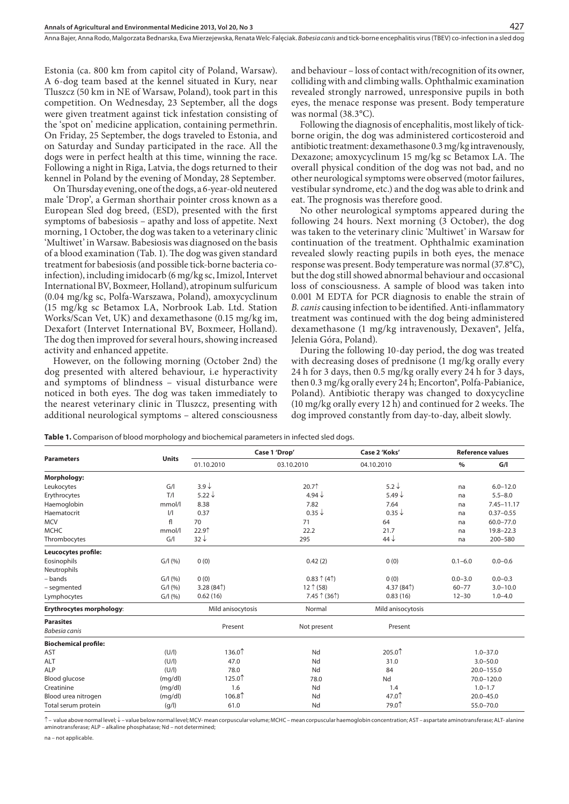Estonia (ca. 800 km from capitol city of Poland, Warsaw). A 6-dog team based at the kennel situated in Kury, near Tluszcz (50 km in NE of Warsaw, Poland), took part in this competition. On Wednesday, 23 September, all the dogs were given treatment against tick infestation consisting of the 'spot on' medicine application, containing permethrin. On Friday, 25 September, the dogs traveled to Estonia, and on Saturday and Sunday participated in the race. All the dogs were in perfect health at this time, winning the race. Following a night in Riga, Latvia, the dogs returned to their kennel in Poland by the evening of Monday, 28 September.

On Thursday evening, one of the dogs, a 6-year-old neutered male 'Drop', a German shorthair pointer cross known as a European Sled dog breed, (ESD), presented with the first symptoms of babesiosis – apathy and loss of appetite. Next morning, 1 October, the dog was taken to a veterinary clinic 'Multiwet' in Warsaw. Babesiosis was diagnosed on the basis of a blood examination (Tab. 1). The dog was given standard treatment for babesiosis (and possible tick-borne bacteria coinfection), including imidocarb (6 mg/kg sc, Imizol, Intervet International BV, Boxmeer, Holland), atropinum sulfuricum (0.04 mg/kg sc, Polfa-Warszawa, Poland), amoxycyclinum (15 mg/kg sc Betamox LA, Norbrook Lab. Ltd. Station Works/Scan Vet, UK) and dexamethasone (0.15 mg/kg im, Dexafort (Intervet International BV, Boxmeer, Holland). The dog then improved for several hours, showing increased activity and enhanced appetite.

However, on the following morning (October 2nd) the dog presented with altered behaviour, i.e hyperactivity and symptoms of blindness – visual disturbance were noticed in both eyes. The dog was taken immediately to the nearest veterinary clinic in Tluszcz, presenting with additional neurological symptoms – altered consciousness

and behaviour – loss of contact with/recognition of its owner, colliding with and climbing walls. Ophthalmic examination revealed strongly narrowed, unresponsive pupils in both eyes, the menace response was present. Body temperature was normal (38.3°C).

427

Following the diagnosis of encephalitis, most likely of tickborne origin, the dog was administered corticosteroid and antibiotic treatment: dexamethasone 0.3 mg/kg intravenously, Dexazone; amoxycyclinum 15 mg/kg sc Betamox LA. The overall physical condition of the dog was not bad, and no other neurological symptoms were observed (motor failures, vestibular syndrome, etc.) and the dog was able to drink and eat. The prognosis was therefore good.

No other neurological symptoms appeared during the following 24 hours. Next morning (3 October), the dog was taken to the veterinary clinic 'Multiwet' in Warsaw for continuation of the treatment. Ophthalmic examination revealed slowly reacting pupils in both eyes, the menace response was present. Body temperature was normal (37.8°C), but the dog still showed abnormal behaviour and occasional loss of consciousness. A sample of blood was taken into 0.001 M EDTA for PCR diagnosis to enable the strain of *B. canis* causing infection to be identified. Anti-inflammatory treatment was continued with the dog being administered dexamethasone (1 mg/kg intravenously, Dexaven®, Jelfa, Jelenia Góra, Poland).

During the following 10-day period, the dog was treated with decreasing doses of prednisone (1 mg/kg orally every 24 h for 3 days, then 0.5 mg/kg orally every 24 h for 3 days, then 0.3 mg/kg orally every 24 h; Encorton®, Polfa-Pabianice, Poland). Antibiotic therapy was changed to doxycycline (10 mg/kg orally every 12 h) and continued for 2 weeks. The dog improved constantly from day-to-day, albeit slowly.

**Table 1.** Comparison of blood morphology and biochemical parameters in infected sled dogs.

| <b>Parameters</b>           | <b>Units</b>  | Case 1 'Drop'     |                               | Case 2 'Koks'     | <b>Reference values</b> |                |
|-----------------------------|---------------|-------------------|-------------------------------|-------------------|-------------------------|----------------|
|                             |               | 01.10.2010        | 03.10.2010                    | 04.10.2010        | $\%$                    | G/I            |
| Morphology:                 |               |                   |                               |                   |                         |                |
| Leukocytes                  | G/            | $3.9\downarrow$   | 20.71                         | $5.2\downarrow$   | na                      | $6.0 - 12.0$   |
| Erythrocytes                | T/            | 5.22 $\downarrow$ | 4.94 $\downarrow$             | 5.49 $\downarrow$ | na                      | $5.5 - 8.0$    |
| Haemoglobin                 | mmol/l        | 8.38              | 7.82                          | 7.64              | na                      | $7.45 - 11.17$ |
| Haematocrit                 | $\frac{1}{1}$ | 0.37              | $0.35 \downarrow$             | $0.35\downarrow$  | na                      | $0.37 - 0.55$  |
| <b>MCV</b>                  | fl            | 70                | 71                            | 64                | na                      | $60.0 - 77.0$  |
| <b>MCHC</b>                 | mmol/l        | 22.91             | 22.2                          | 21.7              | na                      | $19.8 - 22.3$  |
| Thrombocytes                | G/I           | $32\downarrow$    | 295                           | $44\downarrow$    | na                      | 200-580        |
| Leucocytes profile:         |               |                   |                               |                   |                         |                |
| Eosinophils                 | G/1(96)       | 0(0)              | 0.42(2)                       | 0(0)              | $0.1 - 6.0$             | $0.0 - 0.6$    |
| Neutrophils                 |               |                   |                               |                   |                         |                |
| - bands                     | G/1(96)       | 0(0)              | $0.83 \uparrow (4 \uparrow)$  | 0(0)              | $0.0 - 3.0$             | $0.0 - 0.3$    |
| - segmented                 | G/1(96)       | 3.28(84)          | 12 (58)                       | 4.37 $(84†)$      | $60 - 77$               | $3.0 - 10.0$   |
| Lymphocytes                 | G/I(%)        | 0.62(16)          | $7.45 \uparrow (36 \uparrow)$ | 0.83(16)          | $12 - 30$               | $1.0 - 4.0$    |
| Erythrocytes morphology:    |               | Mild anisocytosis | Normal                        | Mild anisocytosis |                         |                |
| <b>Parasites</b>            |               |                   |                               |                   |                         |                |
| Babesia canis               |               | Present           | Not present                   | Present           |                         |                |
| <b>Biochemical profile:</b> |               |                   |                               |                   |                         |                |
| AST                         | (U/I)         | 136.01            | Nd                            | 205.01            | $1.0 - 37.0$            |                |
| ALT                         | (U/I)         | 47.0              | Nd                            | 31.0              | $3.0 - 50.0$            |                |
| ALP                         | (U/I)         | 78.0              | Nd                            | 84                | $20.0 - 155.0$          |                |
| <b>Blood glucose</b>        | (mq/dl)       | 125.01            | 78.0                          | Nd                | 70.0-120.0              |                |
| Creatinine                  | (mq/dl)       | 1.6               | Nd                            | 1.4               | $1.0 - 1.7$             |                |
| Blood urea nitrogen         | (mg/dl)       | 106.81            | Nd                            | 47.01             | $20.0 - 45.0$           |                |
| Total serum protein         | (g/l)         | 61.0              | Nd                            | 79.01             | 55.0-70.0               |                |

↑ – value above normal level; ↓ – value below normal level; MCV- mean corpuscular volume; MCHC – mean corpuscular haemoglobin concentration; AST – aspartate aminotransferase; ALT- alanine aminotransferase; ALP – alkaline phosphatase; Nd – not determined;

na – not applicable.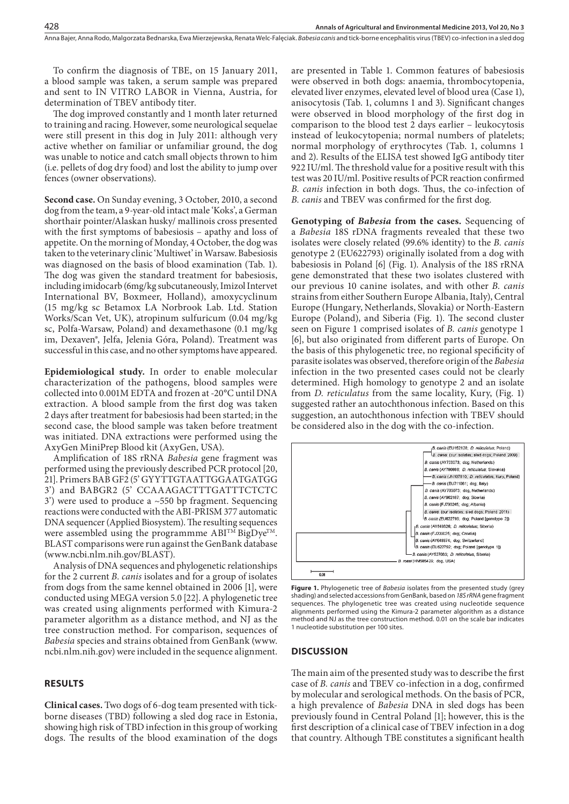To confirm the diagnosis of TBE, on 15 January 2011, a blood sample was taken, a serum sample was prepared and sent to IN VITRO LABOR in Vienna, Austria, for determination of TBEV antibody titer.

The dog improved constantly and 1 month later returned to training and racing. However, some neurological sequelae were still present in this dog in July 2011: although very active whether on familiar or unfamiliar ground, the dog was unable to notice and catch small objects thrown to him (i.e. pellets of dog dry food) and lost the ability to jump over fences (owner observations).

**Second case.** On Sunday evening, 3 October, 2010, a second dog from the team, a 9-year-old intact male 'Koks', a German shorthair pointer/Alaskan husky/ mallinois cross presented with the first symptoms of babesiosis – apathy and loss of appetite. On the morning of Monday, 4 October, the dog was taken to the veterinary clinic 'Multiwet' in Warsaw. Babesiosis was diagnosed on the basis of blood examination (Tab. 1). The dog was given the standard treatment for babesiosis, including imidocarb (6mg/kg subcutaneously, Imizol Intervet International BV, Boxmeer, Holland), amoxycyclinum (15 mg/kg sc Betamox LA Norbrook Lab. Ltd. Station Works/Scan Vet, UK), atropinum sulfuricum (0.04 mg/kg sc, Polfa-Warsaw, Poland) and dexamethasone (0.1 mg/kg im, Dexaven®, Jelfa, Jelenia Góra, Poland). Treatment was successful in this case, and no other symptoms have appeared.

**Epidemiological study.** In order to enable molecular characterization of the pathogens, blood samples were collected into 0.001M EDTA and frozen at -20°C until DNA extraction. A blood sample from the first dog was taken 2 days after treatment for babesiosis had been started; in the second case, the blood sample was taken before treatment was initiated. DNA extractions were performed using the AxyGen MiniPrep Blood kit (AxyGen, USA).

Amplification of 18S rRNA *Babesia* gene fragment was performed using the previously described PCR protocol [20, 21]. Primers BAB GF2 (5' GYYTTGTAATTGGAATGATGG 3') and BABGR2 (5' CCAAAGACTTTGATTTCTCTC 3') were used to produce a ~550 bp fragment. Sequencing reactions were conducted with the ABI-PRISM 377 automatic DNA sequencer (Applied Biosystem). The resulting sequences were assembled using the programmme  $ABI^{TM}BigDye^{TM}$ . BLAST comparisons were run against the GenBank database (www.ncbi.nlm.nih.gov/BLAST).

Analysis of DNA sequences and phylogenetic relationships for the 2 current *B. canis* isolates and for a group of isolates from dogs from the same kennel obtained in 2006 [1], were conducted using MEGA version 5.0 [22]. A phylogenetic tree was created using alignments performed with Kimura-2 parameter algorithm as a distance method, and NJ as the tree construction method. For comparison, sequences of *Babesia* species and strains obtained from GenBank (www. ncbi.nlm.nih.gov) were included in the sequence alignment.

#### **RESULTS**

**Clinical cases.** Two dogs of 6-dog team presented with tickborne diseases (TBD) following a sled dog race in Estonia, showing high risk of TBD infection in this group of working dogs. The results of the blood examination of the dogs are presented in Table 1. Common features of babesiosis were observed in both dogs: anaemia, thrombocytopenia, elevated liver enzymes, elevated level of blood urea (Case 1), anisocytosis (Tab. 1, columns 1 and 3). Significant changes were observed in blood morphology of the first dog in comparison to the blood test 2 days earlier – leukocytosis instead of leukocytopenia; normal numbers of platelets; normal morphology of erythrocytes (Tab. 1, columns 1 and 2). Results of the ELISA test showed IgG antibody titer 922 IU/ml. The threshold value for a positive result with this test was 20 IU/ml. Positive results of PCR reaction confirmed *B. canis* infection in both dogs. Thus, the co-infection of *B. canis* and TBEV was confirmed for the first dog.

**Genotyping of** *Babesia* **from the cases.** Sequencing of a *Babesia* 18S rDNA fragments revealed that these two isolates were closely related (99.6% identity) to the *B. canis* genotype 2 (EU622793) originally isolated from a dog with babesiosis in Poland [6] (Fig. 1). Analysis of the 18S rRNA gene demonstrated that these two isolates clustered with our previous 10 canine isolates, and with other *B. canis* strains from either Southern Europe Albania, Italy), Central Europe (Hungary, Netherlands, Slovakia) or North-Eastern Europe (Poland), and Siberia (Fig. 1). The second cluster seen on Figure 1 comprised isolates of *B. canis* genotype 1 [6], but also originated from different parts of Europe. On the basis of this phylogenetic tree, no regional specificity of parasite isolates was observed, therefore origin of the *Babesia*  infection in the two presented cases could not be clearly determined. High homology to genotype 2 and an isolate from *D. reticulatus* from the same locality, Kury, (Fig. 1) suggested rather an autochthonous infection. Based on this suggestion, an autochthonous infection with TBEV should be considered also in the dog with the co-infection.



**Figure 1.** Phylogenetic tree of *Babesia* isolates from the presented study (grey shading) and selected accessions from GenBank, based on *18S rRNA* gene fragment sequences. The phylogenetic tree was created using nucleotide sequence alignments performed using the Kimura-2 parameter algorithm as a distance method and NJ as the tree construction method. 0.01 on the scale bar indicates 1 nucleotide substitution per 100 sites.

#### **DISCUSSION**

The main aim of the presented study was to describe the first case of *B. canis* and TBEV co-infection in a dog, confirmed by molecular and serological methods. On the basis of PCR, a high prevalence of *Babesia* DNA in sled dogs has been previously found in Central Poland [1]; however, this is the first description of a clinical case of TBEV infection in a dog that country. Although TBE constitutes a significant health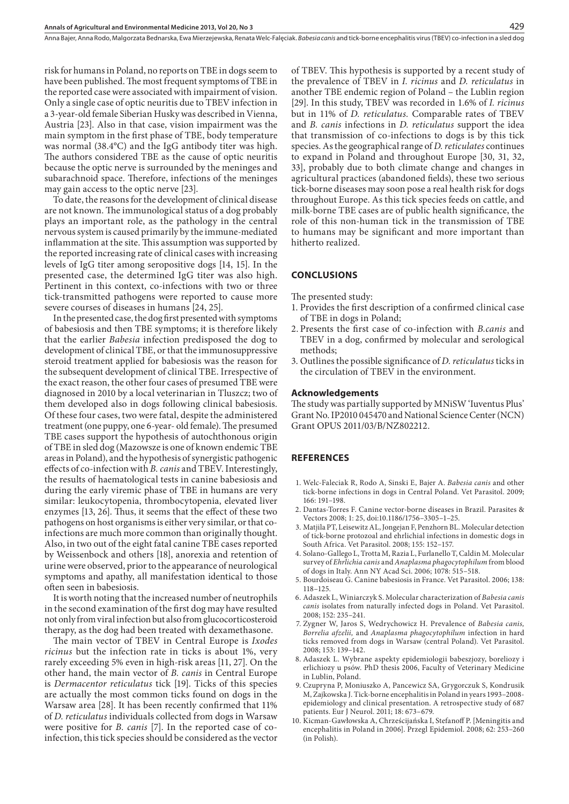risk for humans in Poland, no reports on TBE in dogs seem to have been published. The most frequent symptoms of TBE in the reported case were associated with impairment of vision. Only a single case of optic neuritis due to TBEV infection in a 3-year-old female Siberian Husky was described in Vienna, Austria [23]. Also in that case, vision impairment was the main symptom in the first phase of TBE, body temperature was normal (38.4°C) and the IgG antibody titer was high. The authors considered TBE as the cause of optic neuritis because the optic nerve is surrounded by the meninges and subarachnoid space. Therefore, infections of the meninges may gain access to the optic nerve [23].

To date, the reasons for the development of clinical disease are not known. The immunological status of a dog probably plays an important role, as the pathology in the central nervous system is caused primarily by the immune-mediated inflammation at the site. This assumption was supported by the reported increasing rate of clinical cases with increasing levels of IgG titer among seropositive dogs [14, 15]. In the presented case, the determined IgG titer was also high. Pertinent in this context, co-infections with two or three tick-transmitted pathogens were reported to cause more severe courses of diseases in humans [24, 25].

In the presented case, the dog first presented with symptoms of babesiosis and then TBE symptoms; it is therefore likely that the earlier *Babesia* infection predisposed the dog to development of clinical TBE, or that the immunosuppressive steroid treatment applied for babesiosis was the reason for the subsequent development of clinical TBE. Irrespective of the exact reason, the other four cases of presumed TBE were diagnosed in 2010 by a local veterinarian in Tluszcz; two of them developed also in dogs following clinical babesiosis. Of these four cases, two were fatal, despite the administered treatment (one puppy, one 6-year- old female). The presumed TBE cases support the hypothesis of autochthonous origin of TBE in sled dog (Mazowsze is one of known endemic TBE areas in Poland), and the hypothesis of synergistic pathogenic effects of co-infection with *B. canis* and TBEV. Interestingly, the results of haematological tests in canine babesiosis and during the early viremic phase of TBE in humans are very similar: leukocytopenia, thrombocytopenia, elevated liver enzymes [13, 26]. Thus, it seems that the effect of these two pathogens on host organisms is either very similar, or that coinfections are much more common than originally thought. Also, in two out of the eight fatal canine TBE cases reported by Weissenbock and others [18], anorexia and retention of urine were observed, prior to the appearance of neurological symptoms and apathy, all manifestation identical to those often seen in babesiosis.

It is worth noting that the increased number of neutrophils in the second examination of the first dog may have resulted not only from viral infection but also from glucocorticosteroid therapy, as the dog had been treated with dexamethasone.

The main vector of TBEV in Central Europe is *Ixodes ricinus* but the infection rate in ticks is about 1%, very rarely exceeding 5% even in high-risk areas [11, 27]. On the other hand, the main vector of *B. canis* in Central Europe is *Dermacentor reticulatus* tick [19]. Ticks of this species are actually the most common ticks found on dogs in the Warsaw area [28]. It has been recently confirmed that 11% of *D. reticulatus* individuals collected from dogs in Warsaw were positive for *B. canis* [7]. In the reported case of coinfection, this tick species should be considered as the vector

of TBEV. This hypothesis is supported by a recent study of the prevalence of TBEV in *I. ricinus* and *D. reticulatus* in another TBE endemic region of Poland – the Lublin region [29]. In this study, TBEV was recorded in 1.6% of *I. ricinus*  but in 11% of *D. reticulatus.* Comparable rates of TBEV and *B. canis* infections in *D. reticulatus* support the idea that transmission of co-infections to dogs is by this tick species. As the geographical range of *D. reticulates* continues to expand in Poland and throughout Europe [30, 31, 32, 33], probably due to both climate change and changes in agricultural practices (abandoned fields), these two serious tick-borne diseases may soon pose a real health risk for dogs throughout Europe. As this tick species feeds on cattle, and milk-borne TBE cases are of public health significance, the role of this non-human tick in the transmission of TBE to humans may be significant and more important than hitherto realized.

429

#### **CONCLUSIONS**

The presented study:

- 1. Provides the first description of a confirmed clinical case of TBE in dogs in Poland;
- 2. Presents the first case of co-infection with *B.canis* and TBEV in a dog, confirmed by molecular and serological methods;
- 3. Outlines the possible significance of *D. reticulatus* ticks in the circulation of TBEV in the environment.

#### **Acknowledgements**

The study was partially supported by MNiSW 'Iuventus Plus' Grant No. IP2010 045470 and National Science Center (NCN) Grant OPUS 2011/03/B/NZ802212.

#### **REFERENCES**

- 1. Welc-Faleciak R, Rodo A, Sinski E, Bajer A. *Babesia canis* and other tick-borne infections in dogs in Central Poland. Vet Parasitol. 2009; 166: 191–198.
- 2. Dantas-Torres F. Canine vector-borne diseases in Brazil. Parasites & Vectors 2008; 1: 25, doi:10.1186/1756–3305–1–25.
- 3. Matjila PT, Leisewitz AL, Jongejan F, Penzhorn BL. Molecular detection of tick-borne protozoal and ehrlichial infections in domestic dogs in South Africa. Vet Parasitol. 2008; 155: 152–157.
- 4. Solano-Gallego L, Trotta M, Razia L, Furlanello T, Caldin M. Molecular survey of *Ehrlichia canis* and *Anaplasma phagocytophilum* from blood of dogs in Italy. Ann NY Acad Sci. 2006; 1078: 515–518.
- 5. Bourdoiseau G. Canine babesiosis in France. Vet Parasitol. 2006; 138: 118–125.
- 6. Adaszek L, Winiarczyk S. Molecular characterization of *Babesia canis canis* isolates from naturally infected dogs in Poland. Vet Parasitol. 2008; 152: 235–241.
- 7. Zygner W, Jaros S, Wedrychowicz H. Prevalence of *Babesia canis, Borrelia afzelii,* and *Anaplasma phagocytophilum* infection in hard ticks removed from dogs in Warsaw (central Poland). Vet Parasitol. 2008; 153: 139–142.
- 8. Adaszek L. Wybrane aspekty epidemiologii babeszjozy, boreliozy i erlichiozy u psów. PhD thesis 2006, Faculty of Veterinary Medicine in Lublin, Poland.
- 9. Czupryna P, Moniuszko A, Pancewicz SA, Grygorczuk S, Kondrusik M, Zajkowska J. Tick-borne encephalitis in Poland in years 1993–2008 epidemiology and clinical presentation. A retrospective study of 687 patients. Eur J Neurol. 2011; 18: 673–679.
- 10. Kicman-Gawłowska A, Chrześcijańska I, Stefanoff P. [Meningitis and encephalitis in Poland in 2006]. Przegl Epidemiol. 2008; 62: 253–260 (in Polish).